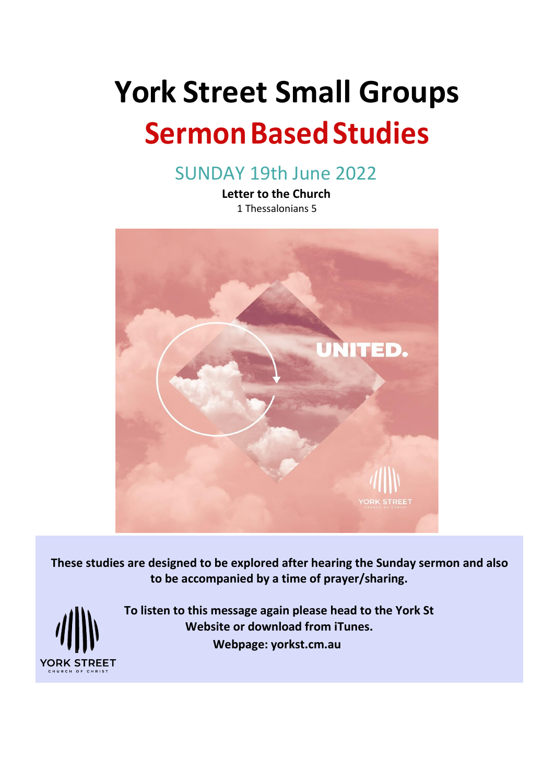# **York Street Small Groups**

# **Sermon Based Studies**

SUNDAY 19th June 2022

**Letter to the Church** 1 Thessalonians 5



**These studies are designed to be explored after hearing the Sunday sermon and also to be accompanied by a time of prayer/sharing.**



**To listen to this message again please head to the York St Website or download from iTunes. Webpage: yorkst.cm.au**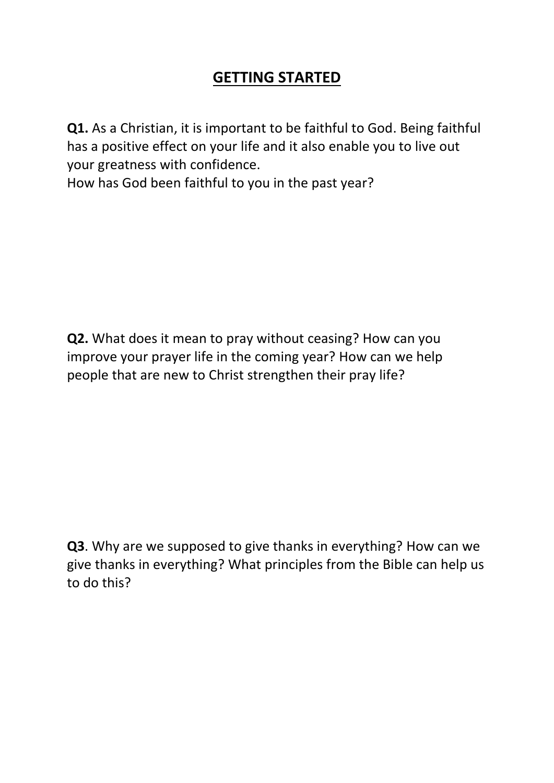## **GETTING STARTED**

**Q1.** As a Christian, it is important to be faithful to God. Being faithful has a positive effect on your life and it also enable you to live out your greatness with confidence.

How has God been faithful to you in the past year?

**Q2.** What does it mean to pray without ceasing? How can you improve your prayer life in the coming year? How can we help people that are new to Christ strengthen their pray life?

**Q3**. Why are we supposed to give thanks in everything? How can we give thanks in everything? What principles from the Bible can help us to do this?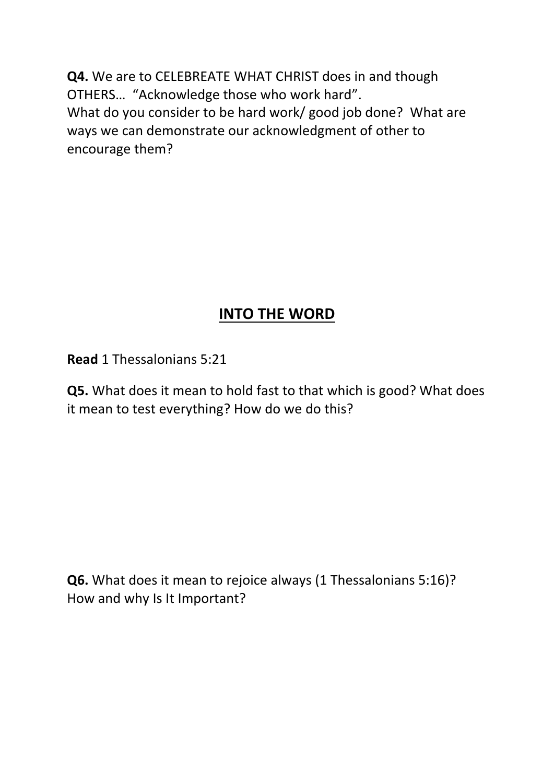**Q4.** We are to CELEBREATE WHAT CHRIST does in and though OTHERS… "Acknowledge those who work hard". What do you consider to be hard work/ good job done? What are ways we can demonstrate our acknowledgment of other to encourage them?

# **INTO THE WORD**

**Read** 1 Thessalonians 5:21

**Q5.** What does it mean to hold fast to that which is good? What does it mean to test everything? How do we do this?

**Q6.** What does it mean to rejoice always (1 Thessalonians 5:16)? How and why Is It Important?